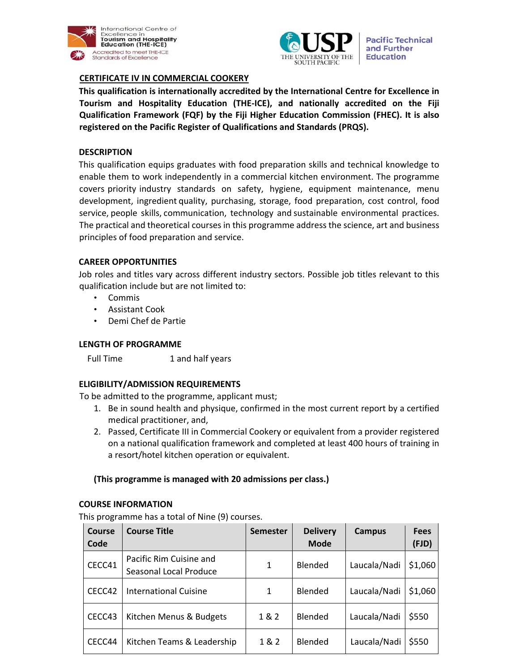



**Pacific Technical** and Further **Education** 

# **CERTIFICATE IV IN COMMERCIAL COOKERY**

**This qualification is internationally accredited by the International Centre for Excellence in Tourism and Hospitality Education (THE‐ICE), and nationally accredited on the Fiji Qualification Framework (FQF) by the Fiji Higher Education Commission (FHEC). It is also registered on the Pacific Register of Qualifications and Standards (PRQS).**

# **DESCRIPTION**

This qualification equips graduates with food preparation skills and technical knowledge to enable them to work independently in a commercial kitchen environment. The programme covers priority industry standards on safety, hygiene, equipment maintenance, menu development, ingredient quality, purchasing, storage, food preparation, cost control, food service, people skills, communication, technology and sustainable environmental practices. The practical and theoretical courses in this programme address the science, art and business principles of food preparation and service.

# **CAREER OPPORTUNITIES**

Job roles and titles vary across different industry sectors. Possible job titles relevant to this qualification include but are not limited to:

- Commis
- Assistant Cook
- Demi Chef de Partie

## **LENGTH OF PROGRAMME**

Full Time 1 and half years

# **ELIGIBILITY/ADMISSION REQUIREMENTS**

To be admitted to the programme, applicant must;

- 1. Be in sound health and physique, confirmed in the most current report by a certified medical practitioner, and,
- 2. Passed, Certificate III in Commercial Cookery or equivalent from a provider registered on a national qualification framework and completed at least 400 hours of training in a resort/hotel kitchen operation or equivalent.

# **(This programme is managed with 20 admissions per class.)**

## **COURSE INFORMATION**

This programme has a total of Nine (9) courses.

| <b>Course</b><br>Code | <b>Course Title</b>                               | <b>Semester</b> | <b>Delivery</b><br><b>Mode</b> | <b>Campus</b> | <b>Fees</b><br>(FJD) |
|-----------------------|---------------------------------------------------|-----------------|--------------------------------|---------------|----------------------|
| CECC41                | Pacific Rim Cuisine and<br>Seasonal Local Produce | 1               | <b>Blended</b>                 | Laucala/Nadi  | \$1,060              |
| CECC42                | <b>International Cuisine</b>                      | 1               | Blended                        | Laucala/Nadi  | \$1,060              |
| CECC43                | Kitchen Menus & Budgets                           | 1&2             | <b>Blended</b>                 | Laucala/Nadi  | \$550                |
| CECC44                | Kitchen Teams & Leadership                        | 1 & 2           | Blended                        | Laucala/Nadi  | \$550                |